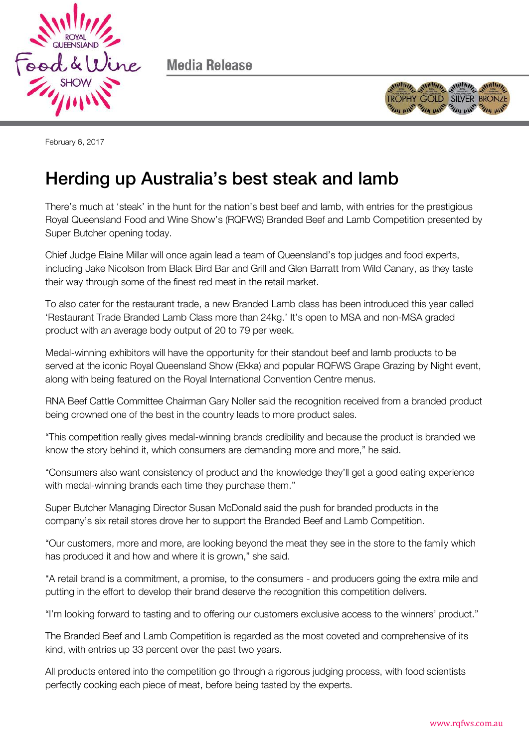

Media Release



February 6, 2017

## Herding up Australia's best steak and lamb

There's much at 'steak' in the hunt for the nation's best beef and lamb, with entries for the prestigious Royal Queensland Food and Wine Show's (RQFWS) Branded Beef and Lamb Competition presented by Super Butcher opening today.

Chief Judge Elaine Millar will once again lead a team of Queensland's top judges and food experts, including Jake Nicolson from Black Bird Bar and Grill and Glen Barratt from Wild Canary, as they taste their way through some of the finest red meat in the retail market.

To also cater for the restaurant trade, a new Branded Lamb class has been introduced this year called 'Restaurant Trade Branded Lamb Class more than 24kg.' It's open to MSA and non-MSA graded product with an average body output of 20 to 79 per week.

Medal-winning exhibitors will have the opportunity for their standout beef and lamb products to be served at the iconic Royal Queensland Show (Ekka) and popular RQFWS Grape Grazing by Night event, along with being featured on the Royal International Convention Centre menus.

RNA Beef Cattle Committee Chairman Gary Noller said the recognition received from a branded product being crowned one of the best in the country leads to more product sales.

"This competition really gives medal-winning brands credibility and because the product is branded we know the story behind it, which consumers are demanding more and more," he said.

"Consumers also want consistency of product and the knowledge they'll get a good eating experience with medal-winning brands each time they purchase them."

Super Butcher Managing Director Susan McDonald said the push for branded products in the company's six retail stores drove her to support the Branded Beef and Lamb Competition.

"Our customers, more and more, are looking beyond the meat they see in the store to the family which has produced it and how and where it is grown," she said.

"A retail brand is a commitment, a promise, to the consumers - and producers going the extra mile and putting in the effort to develop their brand deserve the recognition this competition delivers.

"I'm looking forward to tasting and to offering our customers exclusive access to the winners' product."

The Branded Beef and Lamb Competition is regarded as the most coveted and comprehensive of its kind, with entries up 33 percent over the past two years.

All products entered into the competition go through a rigorous judging process, with food scientists perfectly cooking each piece of meat, before being tasted by the experts.